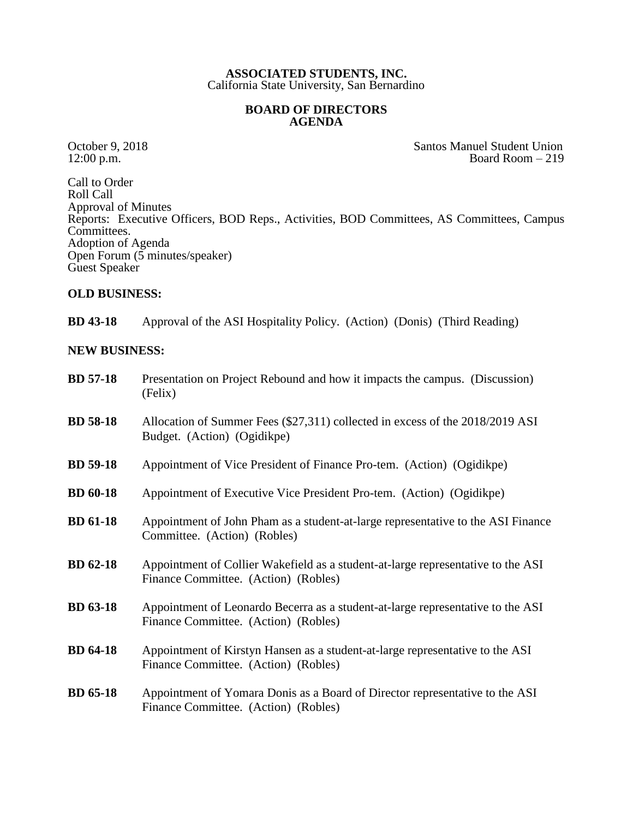## **ASSOCIATED STUDENTS, INC.** California State University, San Bernardino

## **BOARD OF DIRECTORS AGENDA**

October 9, 2018<br>
12:00 p.m.<br>
Board Room – 219 Board Room  $-219$ 

Call to Order Roll Call Approval of Minutes Reports: Executive Officers, BOD Reps., Activities, BOD Committees, AS Committees, Campus Committees. Adoption of Agenda Open Forum  $(5 \text{ minutes/speaker})$ Guest Speaker

## **OLD BUSINESS:**

**BD 43-18** Approval of the ASI Hospitality Policy. (Action) (Donis) (Third Reading)

## **NEW BUSINESS:**

| <b>BD</b> 57-18 | Presentation on Project Rebound and how it impacts the campus. (Discussion)<br>(Felix)                                   |
|-----------------|--------------------------------------------------------------------------------------------------------------------------|
| <b>BD</b> 58-18 | Allocation of Summer Fees $(\$27,311)$ collected in excess of the 2018/2019 ASI<br>Budget. (Action) (Ogidikpe)           |
| <b>BD</b> 59-18 | Appointment of Vice President of Finance Pro-tem. (Action) (Ogidikpe)                                                    |
| <b>BD</b> 60-18 | Appointment of Executive Vice President Pro-tem. (Action) (Ogidikpe)                                                     |
| <b>BD</b> 61-18 | Appointment of John Pham as a student-at-large representative to the ASI Finance<br>Committee. (Action) (Robles)         |
| <b>BD</b> 62-18 | Appointment of Collier Wakefield as a student-at-large representative to the ASI<br>Finance Committee. (Action) (Robles) |
| <b>BD</b> 63-18 | Appointment of Leonardo Becerra as a student-at-large representative to the ASI<br>Finance Committee. (Action) (Robles)  |
| <b>BD</b> 64-18 | Appointment of Kirstyn Hansen as a student-at-large representative to the ASI<br>Finance Committee. (Action) (Robles)    |
| <b>BD</b> 65-18 | Appointment of Yomara Donis as a Board of Director representative to the ASI<br>Finance Committee. (Action) (Robles)     |